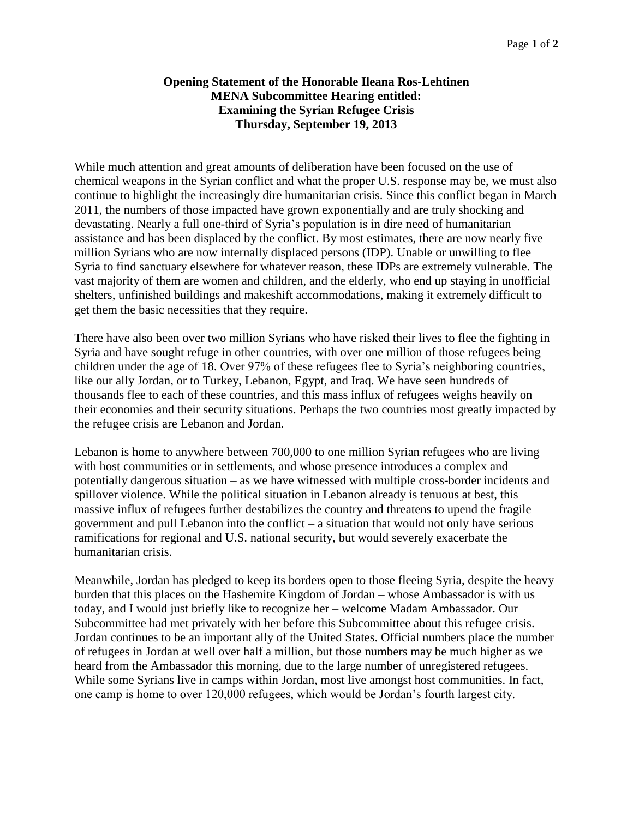## **Opening Statement of the Honorable Ileana Ros-Lehtinen MENA Subcommittee Hearing entitled: Examining the Syrian Refugee Crisis Thursday, September 19, 2013**

While much attention and great amounts of deliberation have been focused on the use of chemical weapons in the Syrian conflict and what the proper U.S. response may be, we must also continue to highlight the increasingly dire humanitarian crisis. Since this conflict began in March 2011, the numbers of those impacted have grown exponentially and are truly shocking and devastating. Nearly a full one-third of Syria's population is in dire need of humanitarian assistance and has been displaced by the conflict. By most estimates, there are now nearly five million Syrians who are now internally displaced persons (IDP). Unable or unwilling to flee Syria to find sanctuary elsewhere for whatever reason, these IDPs are extremely vulnerable. The vast majority of them are women and children, and the elderly, who end up staying in unofficial shelters, unfinished buildings and makeshift accommodations, making it extremely difficult to get them the basic necessities that they require.

There have also been over two million Syrians who have risked their lives to flee the fighting in Syria and have sought refuge in other countries, with over one million of those refugees being children under the age of 18. Over 97% of these refugees flee to Syria's neighboring countries, like our ally Jordan, or to Turkey, Lebanon, Egypt, and Iraq. We have seen hundreds of thousands flee to each of these countries, and this mass influx of refugees weighs heavily on their economies and their security situations. Perhaps the two countries most greatly impacted by the refugee crisis are Lebanon and Jordan.

Lebanon is home to anywhere between 700,000 to one million Syrian refugees who are living with host communities or in settlements, and whose presence introduces a complex and potentially dangerous situation – as we have witnessed with multiple cross-border incidents and spillover violence. While the political situation in Lebanon already is tenuous at best, this massive influx of refugees further destabilizes the country and threatens to upend the fragile government and pull Lebanon into the conflict – a situation that would not only have serious ramifications for regional and U.S. national security, but would severely exacerbate the humanitarian crisis.

Meanwhile, Jordan has pledged to keep its borders open to those fleeing Syria, despite the heavy burden that this places on the Hashemite Kingdom of Jordan – whose Ambassador is with us today, and I would just briefly like to recognize her – welcome Madam Ambassador. Our Subcommittee had met privately with her before this Subcommittee about this refugee crisis. Jordan continues to be an important ally of the United States. Official numbers place the number of refugees in Jordan at well over half a million, but those numbers may be much higher as we heard from the Ambassador this morning, due to the large number of unregistered refugees. While some Syrians live in camps within Jordan, most live amongst host communities. In fact, one camp is home to over 120,000 refugees, which would be Jordan's fourth largest city.